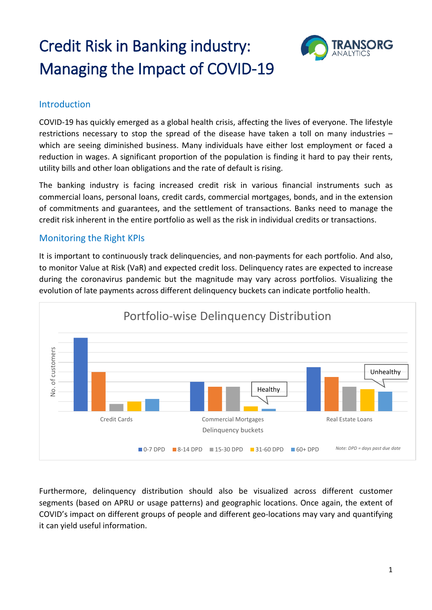# Credit Risk in Banking industry: Managing the Impact of COVID-19



### Introduction

COVID-19 has quickly emerged as a global health crisis, affecting the lives of everyone. The lifestyle restrictions necessary to stop the spread of the disease have taken a toll on many industries – which are seeing diminished business. Many individuals have either lost employment or faced a reduction in wages. A significant proportion of the population is finding it hard to pay their rents, utility bills and other loan obligations and the rate of default is rising.

The banking industry is facing increased credit risk in various financial instruments such as commercial loans, personal loans, credit cards, commercial mortgages, bonds, and in the extension of commitments and guarantees, and the settlement of transactions. Banks need to manage the credit risk inherent in the entire portfolio as well as the risk in individual credits or transactions.

## Monitoring the Right KPIs

It is important to continuously track delinquencies, and non-payments for each portfolio. And also, to monitor Value at Risk (VaR) and expected credit loss. Delinquency rates are expected to increase during the coronavirus pandemic but the magnitude may vary across portfolios. Visualizing the evolution of late payments across different delinquency buckets can indicate portfolio health.



Furthermore, delinquency distribution should also be visualized across different customer segments (based on APRU or usage patterns) and geographic locations. Once again, the extent of COVID's impact on different groups of people and different geo-locations may vary and quantifying it can yield useful information.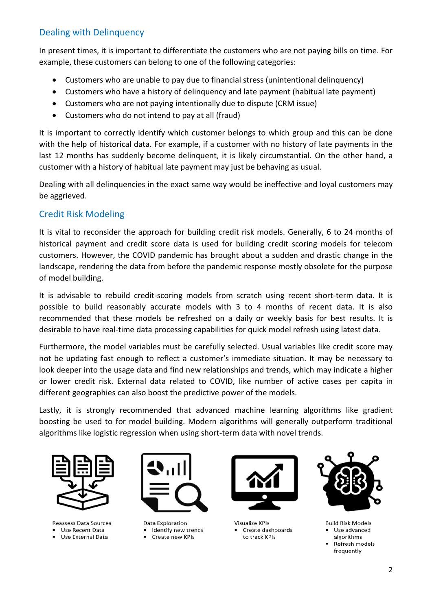## Dealing with Delinquency

In present times, it is important to differentiate the customers who are not paying bills on time. For example, these customers can belong to one of the following categories:

- Customers who are unable to pay due to financial stress (unintentional delinquency)
- Customers who have a history of delinquency and late payment (habitual late payment)
- Customers who are not paying intentionally due to dispute (CRM issue)
- Customers who do not intend to pay at all (fraud)

It is important to correctly identify which customer belongs to which group and this can be done with the help of historical data. For example, if a customer with no history of late payments in the last 12 months has suddenly become delinquent, it is likely circumstantial. On the other hand, a customer with a history of habitual late payment may just be behaving as usual.

Dealing with all delinquencies in the exact same way would be ineffective and loyal customers may be aggrieved.

# Credit Risk Modeling

It is vital to reconsider the approach for building credit risk models. Generally, 6 to 24 months of historical payment and credit score data is used for building credit scoring models for telecom customers. However, the COVID pandemic has brought about a sudden and drastic change in the landscape, rendering the data from before the pandemic response mostly obsolete for the purpose of model building.

It is advisable to rebuild credit-scoring models from scratch using recent short-term data. It is possible to build reasonably accurate models with 3 to 4 months of recent data. It is also recommended that these models be refreshed on a daily or weekly basis for best results. It is desirable to have real-time data processing capabilities for quick model refresh using latest data.

Furthermore, the model variables must be carefully selected. Usual variables like credit score may not be updating fast enough to reflect a customer's immediate situation. It may be necessary to look deeper into the usage data and find new relationships and trends, which may indicate a higher or lower credit risk. External data related to COVID, like number of active cases per capita in different geographies can also boost the predictive power of the models.

Lastly, it is strongly recommended that advanced machine learning algorithms like gradient boosting be used to for model building. Modern algorithms will generally outperform traditional algorithms like logistic regression when using short-term data with novel trends.



**Reassess Data Sources** Use Recent Data

**Use External Data** 



Data Exploration I Identify new trends Create new KPIs



**Visualize KPIs** Create dashboards to track KPIs



**Build Risk Models** Use advanced algorithms

Refresh models frequently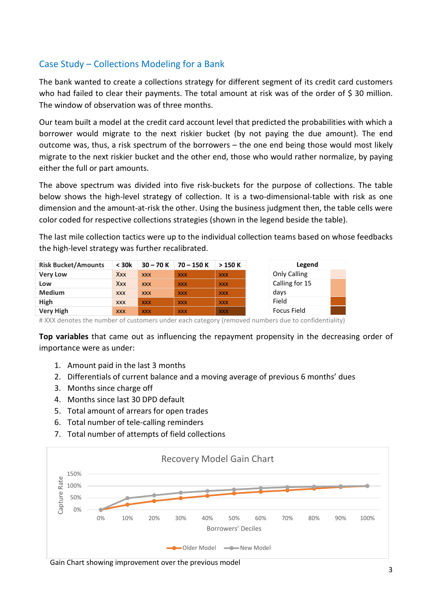# Case Study – Collections Modeling for a Bank

The bank wanted to create a collections strategy for different segment of its credit card customers who had failed to clear their payments. The total amount at risk was of the order of \$ 30 million. The window of observation was of three months.

Our team built a model at the credit card account level that predicted the probabilities with which a borrower would migrate to the next riskier bucket (by not paying the due amount). The end outcome was, thus, a risk spectrum of the borrowers – the one end being those would most likely migrate to the next riskier bucket and the other end, those who would rather normalize, by paying either the full or part amounts.

The above spectrum was divided into five risk-buckets for the purpose of collections. The table below shows the high-level strategy of collection. It is a two-dimensional-table with risk as one dimension and the amount-at-risk the other. Using the business judgment then, the table cells were color coded for respective collections strategies (shown in the legend beside the table).

The last mile collection tactics were up to the individual collection teams based on whose feedbacks the high-level strategy was further recalibrated.

| <b>Risk Bucket/Amounts</b> | $<$ 30 $k$ | $30 - 70 K$ | $70 - 150K$ | >150K      | Legend         |  |
|----------------------------|------------|-------------|-------------|------------|----------------|--|
| <b>Very Low</b>            | <b>Xxx</b> | <b>XXX</b>  | <b>XXX</b>  | <b>XXX</b> | Only Calling   |  |
| Low                        | Xxx        | <b>XXX</b>  | <b>XXX</b>  | <b>XXX</b> | Calling for 15 |  |
| <b>Medium</b>              | <b>XXX</b> | <b>XXX</b>  | <b>XXX</b>  | <b>XXX</b> | days           |  |
| High                       | <b>XXX</b> | <b>XXX</b>  | <b>XXX</b>  | <b>XXX</b> | Field          |  |
| <b>Very High</b>           | <b>XXX</b> | <b>XXX</b>  | <b>XXX</b>  | <b>XXX</b> | Focus Field    |  |

# XXX denotes the number of customers under each category (removed numbers due to confidentiality)

**Top variables** that came out as influencing the repayment propensity in the decreasing order of importance were as under:

- 1. Amount paid in the last 3 months
- 2. Differentials of current balance and a moving average of previous 6 months' dues
- 3. Months since charge off
- 4. Months since last 30 DPD default
- 5. Total amount of arrears for open trades
- 6. Total number of tele-calling reminders
- 7. Total number of attempts of field collections